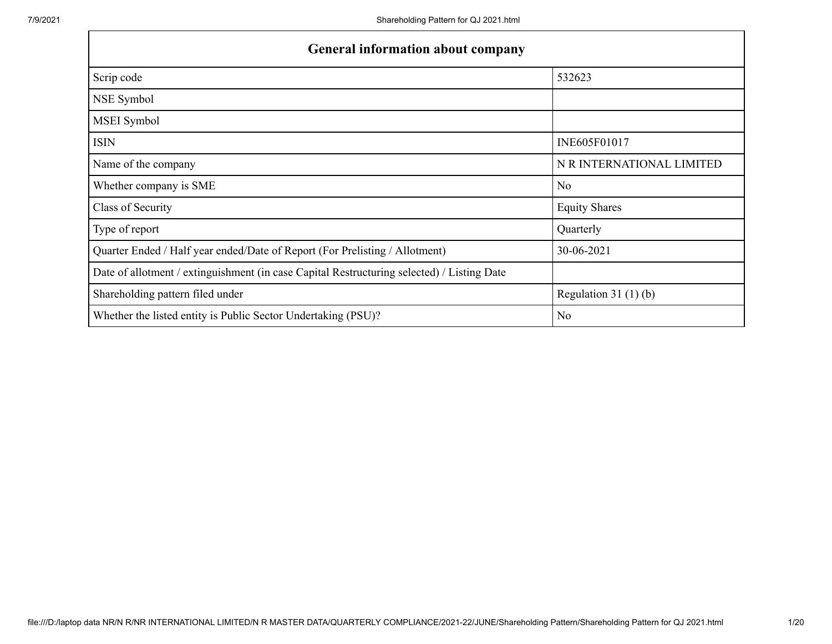| <b>General information about company</b>                                                   |                           |
|--------------------------------------------------------------------------------------------|---------------------------|
| Scrip code                                                                                 | 532623                    |
| NSE Symbol                                                                                 |                           |
| MSEI Symbol                                                                                |                           |
| <b>ISIN</b>                                                                                | INE605F01017              |
| Name of the company                                                                        | N R INTERNATIONAL LIMITED |
| Whether company is SME                                                                     | N <sub>o</sub>            |
| Class of Security                                                                          | <b>Equity Shares</b>      |
| Type of report                                                                             | Quarterly                 |
| Quarter Ended / Half year ended/Date of Report (For Prelisting / Allotment)                | 30-06-2021                |
| Date of allotment / extinguishment (in case Capital Restructuring selected) / Listing Date |                           |
| Shareholding pattern filed under                                                           | Regulation $31(1)(b)$     |
| Whether the listed entity is Public Sector Undertaking (PSU)?                              | N <sub>o</sub>            |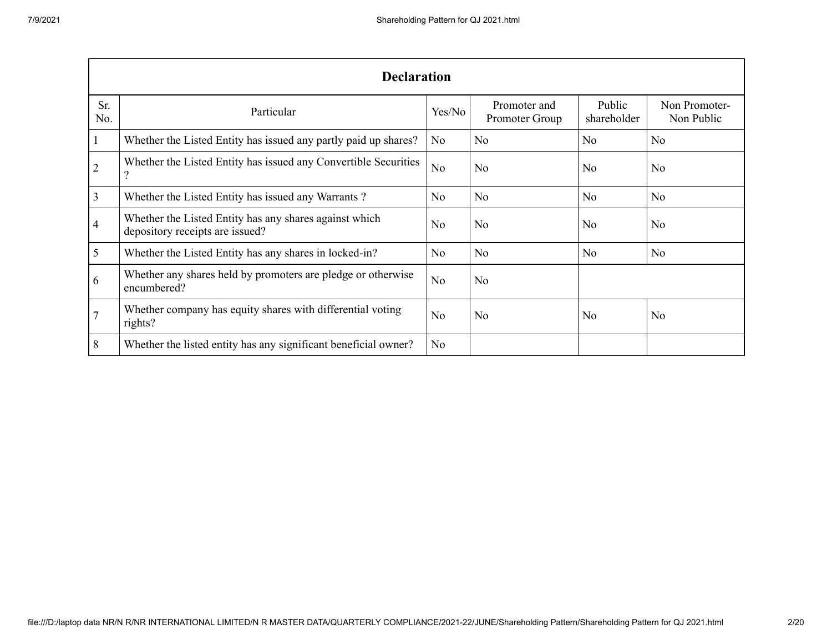|                | <b>Declaration</b>                                                                        |                |                                |                       |                             |  |  |  |  |
|----------------|-------------------------------------------------------------------------------------------|----------------|--------------------------------|-----------------------|-----------------------------|--|--|--|--|
| Sr.<br>No.     | Particular                                                                                | Yes/No         | Promoter and<br>Promoter Group | Public<br>shareholder | Non Promoter-<br>Non Public |  |  |  |  |
| -1             | Whether the Listed Entity has issued any partly paid up shares?                           | No             | N <sub>o</sub>                 | No                    | N <sub>o</sub>              |  |  |  |  |
| $\overline{2}$ | Whether the Listed Entity has issued any Convertible Securities<br>?                      | N <sub>o</sub> | N <sub>o</sub>                 | N <sub>o</sub>        | N <sub>o</sub>              |  |  |  |  |
| 3              | Whether the Listed Entity has issued any Warrants?                                        | No             | N <sub>o</sub>                 | No                    | N <sub>o</sub>              |  |  |  |  |
| 4              | Whether the Listed Entity has any shares against which<br>depository receipts are issued? | No             | N <sub>o</sub>                 | No                    | N <sub>o</sub>              |  |  |  |  |
| 5              | Whether the Listed Entity has any shares in locked-in?                                    | N <sub>o</sub> | N <sub>o</sub>                 | N <sub>o</sub>        | N <sub>o</sub>              |  |  |  |  |
| 6              | Whether any shares held by promoters are pledge or otherwise<br>encumbered?               | N <sub>o</sub> | N <sub>o</sub>                 |                       |                             |  |  |  |  |
|                | Whether company has equity shares with differential voting<br>rights?                     | No             | N <sub>o</sub>                 | N <sub>o</sub>        | N <sub>o</sub>              |  |  |  |  |
| 8              | Whether the listed entity has any significant beneficial owner?                           | N <sub>o</sub> |                                |                       |                             |  |  |  |  |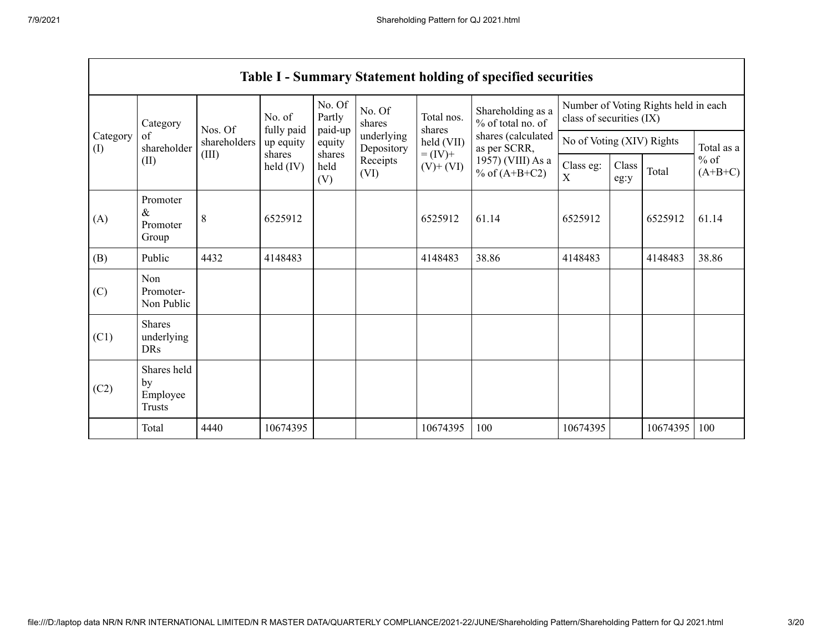$\Gamma$ 

|                 | <b>Table I - Summary Statement holding of specified securities</b> |              |                              |                       |                          |                              |                                        |                                                                  |                           |          |                                   |
|-----------------|--------------------------------------------------------------------|--------------|------------------------------|-----------------------|--------------------------|------------------------------|----------------------------------------|------------------------------------------------------------------|---------------------------|----------|-----------------------------------|
|                 | Category                                                           | Nos. Of      | No. of                       | No. Of<br>Partly      | No. Of<br>shares         | Total nos.<br>shares         | Shareholding as a<br>% of total no. of | Number of Voting Rights held in each<br>class of securities (IX) |                           |          |                                   |
| Category<br>(1) | of<br>shareholder                                                  | shareholders | fully paid<br>up equity      | paid-up<br>equity     | underlying<br>Depository | held (VII)                   | shares (calculated<br>as per SCRR,     |                                                                  | No of Voting (XIV) Rights |          |                                   |
|                 | (II)                                                               | (III)        | shares<br>$\text{held (IV)}$ | shares<br>held<br>(V) | Receipts<br>(VI)         | $= (IV) +$<br>$(V)$ + $(VI)$ | 1957) (VIII) As a<br>% of $(A+B+C2)$   | Class eg:<br>$\mathbf X$                                         | Class<br>eg:y             | Total    | Total as a<br>$%$ of<br>$(A+B+C)$ |
| (A)             | Promoter<br>$\&$<br>Promoter<br>Group                              | 8            | 6525912                      |                       |                          | 6525912                      | 61.14                                  | 6525912                                                          |                           | 6525912  | 61.14                             |
| (B)             | Public                                                             | 4432         | 4148483                      |                       |                          | 4148483                      | 38.86                                  | 4148483                                                          |                           | 4148483  | 38.86                             |
| (C)             | Non<br>Promoter-<br>Non Public                                     |              |                              |                       |                          |                              |                                        |                                                                  |                           |          |                                   |
| (C1)            | <b>Shares</b><br>underlying<br><b>DRs</b>                          |              |                              |                       |                          |                              |                                        |                                                                  |                           |          |                                   |
| (C2)            | Shares held<br>by<br>Employee<br>Trusts                            |              |                              |                       |                          |                              |                                        |                                                                  |                           |          |                                   |
|                 | Total                                                              | 4440         | 10674395                     |                       |                          | 10674395                     | 100                                    | 10674395                                                         |                           | 10674395 | 100                               |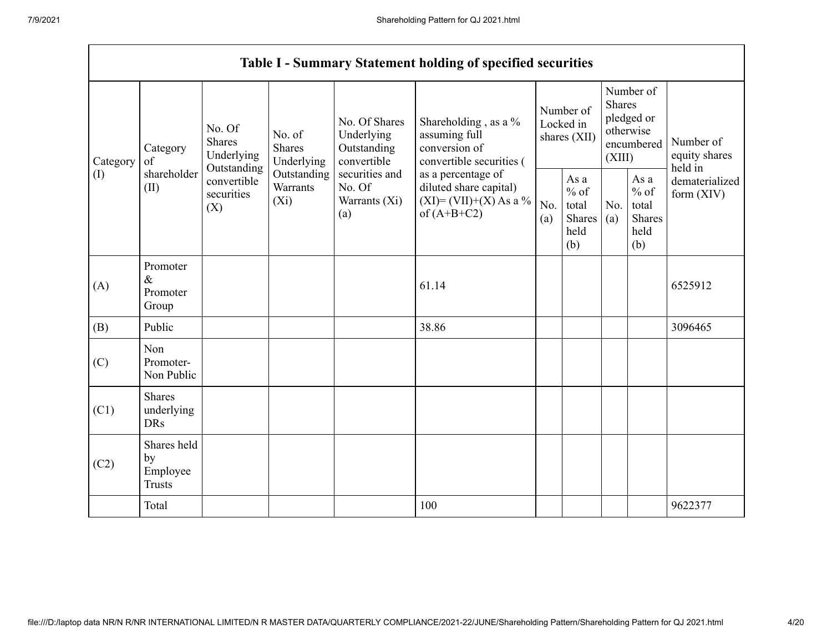|                            |                                                |                                                      |                                    |                                                           | <b>Table I - Summary Statement holding of specified securities</b>                         |                                        |                                                         |                                                                               |                                                         |                                       |
|----------------------------|------------------------------------------------|------------------------------------------------------|------------------------------------|-----------------------------------------------------------|--------------------------------------------------------------------------------------------|----------------------------------------|---------------------------------------------------------|-------------------------------------------------------------------------------|---------------------------------------------------------|---------------------------------------|
| Category<br>Category<br>of |                                                | No. Of<br><b>Shares</b><br>Underlying<br>Outstanding | No. of<br>Shares<br>Underlying     | No. Of Shares<br>Underlying<br>Outstanding<br>convertible | Shareholding, as a %<br>assuming full<br>conversion of<br>convertible securities (         | Number of<br>Locked in<br>shares (XII) |                                                         | Number of<br><b>Shares</b><br>pledged or<br>otherwise<br>encumbered<br>(XIII) |                                                         | Number of<br>equity shares<br>held in |
| (I)                        | shareholder<br>(II)                            | convertible<br>securities<br>(X)                     | Outstanding<br>Warrants<br>$(X_i)$ | securities and<br>No. Of<br>Warrants (Xi)<br>(a)          | as a percentage of<br>diluted share capital)<br>$(XI) = (VII)+(X) As a %$<br>of $(A+B+C2)$ | No.<br>(a)                             | As a<br>$%$ of<br>total<br><b>Shares</b><br>held<br>(b) | No.<br>(a)                                                                    | As a<br>$%$ of<br>total<br><b>Shares</b><br>held<br>(b) | dematerialized<br>form $(XIV)$        |
| (A)                        | Promoter<br>$\&$<br>Promoter<br>Group          |                                                      |                                    |                                                           | 61.14                                                                                      |                                        |                                                         |                                                                               |                                                         | 6525912                               |
| (B)                        | Public                                         |                                                      |                                    |                                                           | 38.86                                                                                      |                                        |                                                         |                                                                               |                                                         | 3096465                               |
| (C)                        | Non<br>Promoter-<br>Non Public                 |                                                      |                                    |                                                           |                                                                                            |                                        |                                                         |                                                                               |                                                         |                                       |
| (C1)                       | <b>Shares</b><br>underlying<br><b>DRs</b>      |                                                      |                                    |                                                           |                                                                                            |                                        |                                                         |                                                                               |                                                         |                                       |
| (C2)                       | Shares held<br>by<br>Employee<br><b>Trusts</b> |                                                      |                                    |                                                           |                                                                                            |                                        |                                                         |                                                                               |                                                         |                                       |
|                            | Total                                          |                                                      |                                    |                                                           | 100                                                                                        |                                        |                                                         |                                                                               |                                                         | 9622377                               |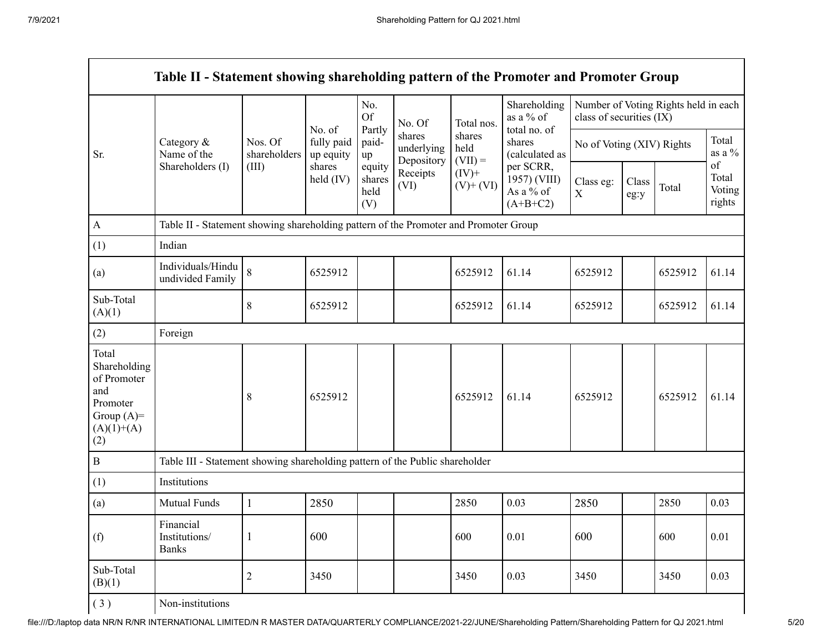Г

|                                                                                                |                                                                                      |                         | No. of                  | No.<br><b>Of</b><br>Partly      | No. Of                             | Total nos.                  | Shareholding<br>as a % of<br>total no. of            | Table II - Statement showing shareholding pattern of the Promoter and Promoter Group<br>Number of Voting Rights held in each<br>class of securities (IX)<br>No of Voting (XIV) Rights<br>Class eg:<br>Class<br>$\mathbf X$<br>eg:y<br>6525912<br>6525912<br>6525912<br>2850<br>600 |  |         |                                 |
|------------------------------------------------------------------------------------------------|--------------------------------------------------------------------------------------|-------------------------|-------------------------|---------------------------------|------------------------------------|-----------------------------|------------------------------------------------------|------------------------------------------------------------------------------------------------------------------------------------------------------------------------------------------------------------------------------------------------------------------------------------|--|---------|---------------------------------|
| Sr.                                                                                            | Category &<br>Name of the                                                            | Nos. Of<br>shareholders | fully paid<br>up equity | paid-<br>up                     | shares<br>underlying<br>Depository | shares<br>held<br>$(VII) =$ | shares<br>(calculated as                             |                                                                                                                                                                                                                                                                                    |  |         | Total<br>as a $\%$              |
|                                                                                                | Shareholders (I)                                                                     | (III)                   | shares<br>held (IV)     | equity<br>shares<br>held<br>(V) | Receipts<br>(VI)                   | $(IV)+$<br>$(V)$ + $(VI)$   | per SCRR,<br>1957) (VIII)<br>As a % of<br>$(A+B+C2)$ |                                                                                                                                                                                                                                                                                    |  | Total   | of<br>Total<br>Voting<br>rights |
| A                                                                                              | Table II - Statement showing shareholding pattern of the Promoter and Promoter Group |                         |                         |                                 |                                    |                             |                                                      |                                                                                                                                                                                                                                                                                    |  |         |                                 |
| (1)                                                                                            | Indian                                                                               |                         |                         |                                 |                                    |                             |                                                      |                                                                                                                                                                                                                                                                                    |  |         |                                 |
| (a)                                                                                            | Individuals/Hindu<br>undivided Family                                                | 8                       | 6525912                 |                                 |                                    | 6525912                     | 61.14                                                |                                                                                                                                                                                                                                                                                    |  | 6525912 | 61.14                           |
| Sub-Total<br>(A)(1)                                                                            |                                                                                      | $\,8\,$                 | 6525912                 |                                 |                                    | 6525912                     | 61.14                                                |                                                                                                                                                                                                                                                                                    |  | 6525912 | 61.14                           |
| (2)                                                                                            | Foreign                                                                              |                         |                         |                                 |                                    |                             |                                                      |                                                                                                                                                                                                                                                                                    |  |         |                                 |
| Total<br>Shareholding<br>of Promoter<br>and<br>Promoter<br>Group $(A)=$<br>$(A)(1)+(A)$<br>(2) |                                                                                      | 8                       | 6525912                 |                                 |                                    | 6525912                     | 61.14                                                |                                                                                                                                                                                                                                                                                    |  | 6525912 | 61.14                           |
| $\, {\bf B}$                                                                                   | Table III - Statement showing shareholding pattern of the Public shareholder         |                         |                         |                                 |                                    |                             |                                                      |                                                                                                                                                                                                                                                                                    |  |         |                                 |
| (1)                                                                                            | Institutions                                                                         |                         |                         |                                 |                                    |                             |                                                      |                                                                                                                                                                                                                                                                                    |  |         |                                 |
| (a)                                                                                            | Mutual Funds                                                                         | $\mathbf{1}$            | 2850                    |                                 |                                    | 2850                        | 0.03                                                 |                                                                                                                                                                                                                                                                                    |  | 2850    | 0.03                            |
| (f)                                                                                            | Financial<br>Institutions/<br><b>Banks</b>                                           | $\mathbf{1}$            | 600                     |                                 |                                    | 600                         | 0.01                                                 |                                                                                                                                                                                                                                                                                    |  | 600     | 0.01                            |
| Sub-Total<br>(B)(1)                                                                            |                                                                                      | $\overline{2}$          | 3450                    |                                 |                                    | 3450                        | 0.03                                                 | 3450                                                                                                                                                                                                                                                                               |  | 3450    | 0.03                            |
| (3)                                                                                            | Non-institutions                                                                     |                         |                         |                                 |                                    |                             |                                                      |                                                                                                                                                                                                                                                                                    |  |         |                                 |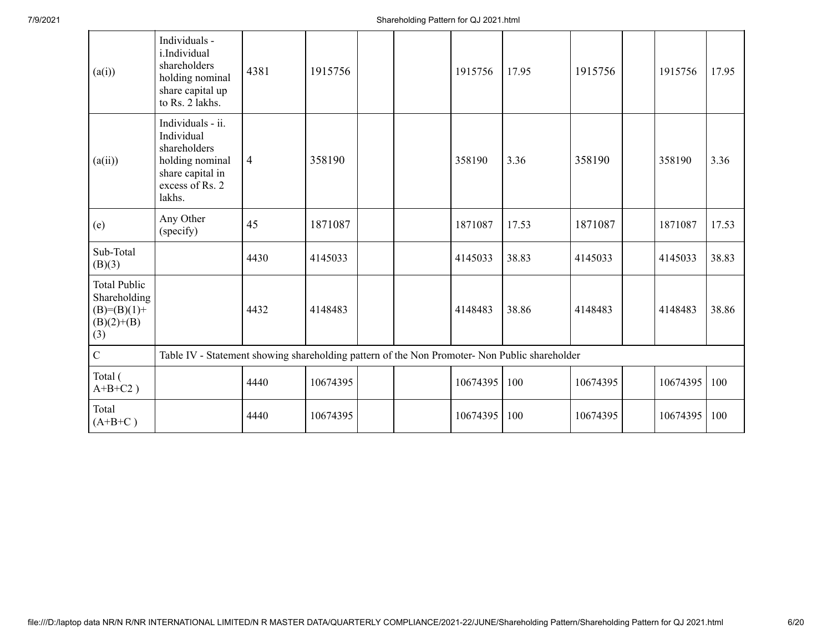| (a(i))                                                                        | Individuals -<br>i.Individual<br>shareholders<br>holding nominal<br>share capital up<br>to Rs. 2 lakhs.             | 4381           | 1915756  |  | 1915756  | 17.95 | 1915756  | 1915756  | 17.95 |
|-------------------------------------------------------------------------------|---------------------------------------------------------------------------------------------------------------------|----------------|----------|--|----------|-------|----------|----------|-------|
| (a(ii))                                                                       | Individuals - ii.<br>Individual<br>shareholders<br>holding nominal<br>share capital in<br>excess of Rs. 2<br>lakhs. | $\overline{4}$ | 358190   |  | 358190   | 3.36  | 358190   | 358190   | 3.36  |
| (e)                                                                           | Any Other<br>(specify)                                                                                              | 45             | 1871087  |  | 1871087  | 17.53 | 1871087  | 1871087  | 17.53 |
| Sub-Total<br>(B)(3)                                                           |                                                                                                                     | 4430           | 4145033  |  | 4145033  | 38.83 | 4145033  | 4145033  | 38.83 |
| <b>Total Public</b><br>Shareholding<br>$(B)= (B)(1) +$<br>$(B)(2)+(B)$<br>(3) |                                                                                                                     | 4432           | 4148483  |  | 4148483  | 38.86 | 4148483  | 4148483  | 38.86 |
| $\mathbf C$                                                                   | Table IV - Statement showing shareholding pattern of the Non Promoter- Non Public shareholder                       |                |          |  |          |       |          |          |       |
| Total (<br>$A+B+C2$ )                                                         |                                                                                                                     | 4440           | 10674395 |  | 10674395 | 100   | 10674395 | 10674395 | 100   |
| Total<br>$(A+B+C)$                                                            |                                                                                                                     | 4440           | 10674395 |  | 10674395 | 100   | 10674395 | 10674395 | 100   |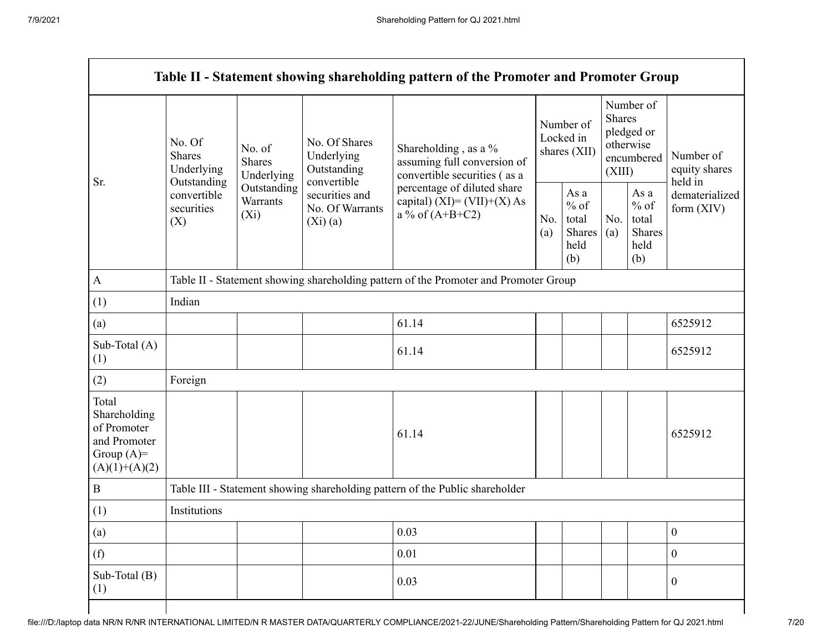|                                                                                         |                                                      |                                                                                      |                                                                                                                                                   | Table II - Statement showing shareholding pattern of the Promoter and Promoter Group |            |                                                         |            |                                                                               |                                       |  |
|-----------------------------------------------------------------------------------------|------------------------------------------------------|--------------------------------------------------------------------------------------|---------------------------------------------------------------------------------------------------------------------------------------------------|--------------------------------------------------------------------------------------|------------|---------------------------------------------------------|------------|-------------------------------------------------------------------------------|---------------------------------------|--|
| Sr.                                                                                     | No. Of<br><b>Shares</b><br>Underlying<br>Outstanding | No. of<br><b>Shares</b><br>Underlying                                                | No. Of Shares<br>Underlying<br>Outstanding                                                                                                        | Shareholding, as a %<br>assuming full conversion of<br>convertible securities (as a  |            | Number of<br>Locked in<br>shares (XII)                  |            | Number of<br><b>Shares</b><br>pledged or<br>otherwise<br>encumbered<br>(XIII) | Number of<br>equity shares<br>held in |  |
|                                                                                         | convertible<br>securities<br>(X)                     | Outstanding<br>Warrants<br>$(X_i)$                                                   | convertible<br>percentage of diluted share<br>securities and<br>capital) $(XI) = (VII)+(X) As$<br>No. Of Warrants<br>a % of $(A+B+C2)$<br>(Xi)(a) |                                                                                      | No.<br>(a) | As a<br>$%$ of<br>total<br><b>Shares</b><br>held<br>(b) | No.<br>(a) | As a<br>$%$ of<br>total<br><b>Shares</b><br>held<br>(b)                       | dematerialized<br>form $(XIV)$        |  |
| $\mathbf{A}$                                                                            |                                                      | Table II - Statement showing shareholding pattern of the Promoter and Promoter Group |                                                                                                                                                   |                                                                                      |            |                                                         |            |                                                                               |                                       |  |
| (1)                                                                                     | Indian                                               |                                                                                      |                                                                                                                                                   |                                                                                      |            |                                                         |            |                                                                               |                                       |  |
| (a)                                                                                     |                                                      |                                                                                      |                                                                                                                                                   | 61.14                                                                                |            |                                                         |            |                                                                               | 6525912                               |  |
| Sub-Total (A)<br>(1)                                                                    |                                                      |                                                                                      |                                                                                                                                                   | 61.14                                                                                |            |                                                         |            |                                                                               | 6525912                               |  |
| (2)                                                                                     | Foreign                                              |                                                                                      |                                                                                                                                                   |                                                                                      |            |                                                         |            |                                                                               |                                       |  |
| Total<br>Shareholding<br>of Promoter<br>and Promoter<br>Group $(A)=$<br>$(A)(1)+(A)(2)$ |                                                      |                                                                                      |                                                                                                                                                   | 61.14                                                                                |            |                                                         |            |                                                                               | 6525912                               |  |
| $\, {\bf B}$                                                                            |                                                      |                                                                                      |                                                                                                                                                   | Table III - Statement showing shareholding pattern of the Public shareholder         |            |                                                         |            |                                                                               |                                       |  |
| (1)                                                                                     | Institutions                                         |                                                                                      |                                                                                                                                                   |                                                                                      |            |                                                         |            |                                                                               |                                       |  |
| (a)                                                                                     |                                                      |                                                                                      |                                                                                                                                                   | 0.03                                                                                 |            |                                                         |            |                                                                               | $\mathbf{0}$                          |  |
| (f)                                                                                     |                                                      |                                                                                      |                                                                                                                                                   | 0.01                                                                                 |            |                                                         |            |                                                                               | $\overline{0}$                        |  |
| Sub-Total (B)<br>(1)                                                                    |                                                      |                                                                                      |                                                                                                                                                   | 0.03                                                                                 |            |                                                         |            |                                                                               | $\theta$                              |  |
|                                                                                         |                                                      |                                                                                      |                                                                                                                                                   |                                                                                      |            |                                                         |            |                                                                               |                                       |  |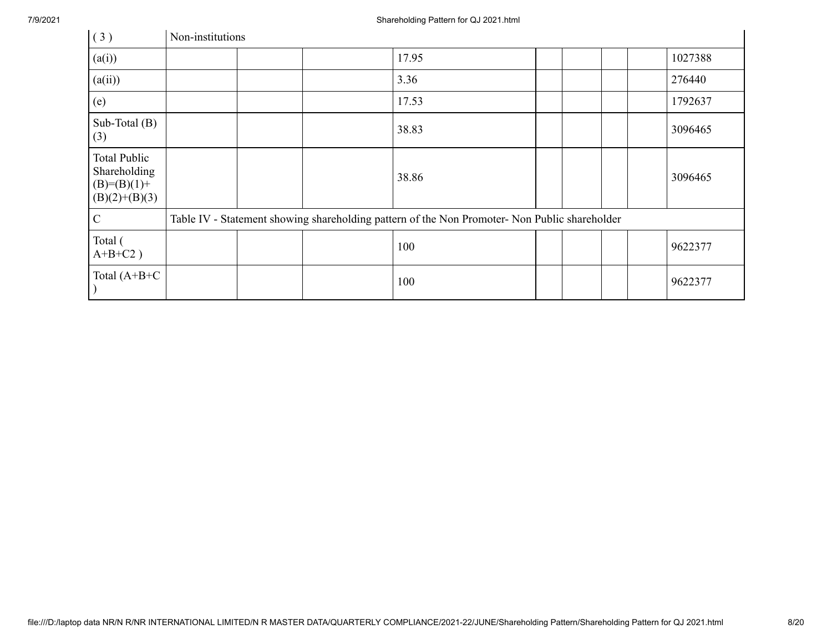| (3)                                                                | Non-institutions |  |                                                                                               |  |  |         |
|--------------------------------------------------------------------|------------------|--|-----------------------------------------------------------------------------------------------|--|--|---------|
| (a(i))                                                             |                  |  | 17.95                                                                                         |  |  | 1027388 |
| (a(ii))                                                            |                  |  | 3.36                                                                                          |  |  | 276440  |
| (e)                                                                |                  |  | 17.53                                                                                         |  |  | 1792637 |
| Sub-Total $(B)$<br>(3)                                             |                  |  | 38.83                                                                                         |  |  | 3096465 |
| Total Public<br>Shareholding<br>$(B)= (B)(1) +$<br>$(B)(2)+(B)(3)$ |                  |  | 38.86                                                                                         |  |  | 3096465 |
| $\mathbf C$                                                        |                  |  | Table IV - Statement showing shareholding pattern of the Non Promoter- Non Public shareholder |  |  |         |
| Total (<br>$A+B+C2$ )                                              |                  |  | 100                                                                                           |  |  | 9622377 |
| Total $(A+B+C)$                                                    |                  |  | 100                                                                                           |  |  | 9622377 |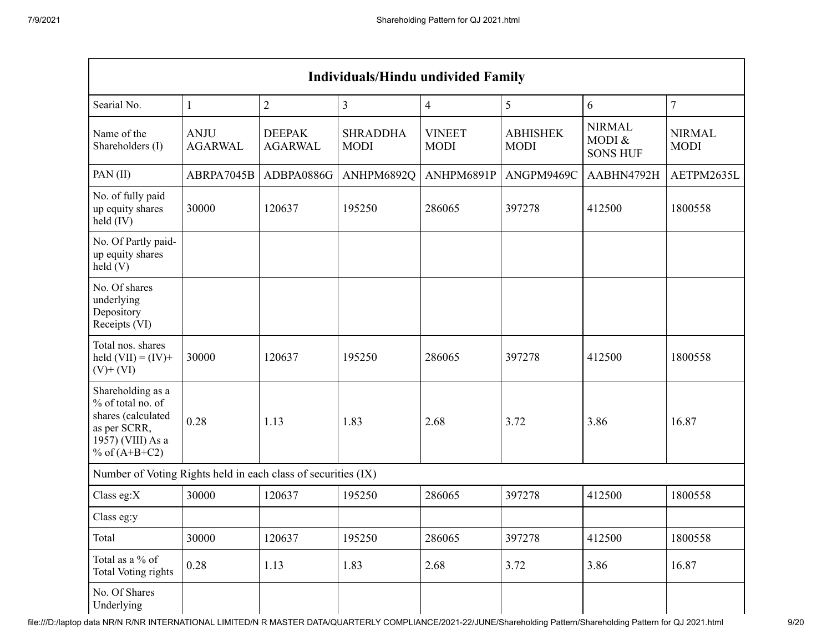|                                                                                                                      |                               |                                 | <b>Individuals/Hindu undivided Family</b> |                              |                                |                                            |                              |
|----------------------------------------------------------------------------------------------------------------------|-------------------------------|---------------------------------|-------------------------------------------|------------------------------|--------------------------------|--------------------------------------------|------------------------------|
| Searial No.                                                                                                          | 1                             | $\overline{2}$                  | $\overline{3}$                            | $\overline{4}$               | 5                              | 6                                          | $\overline{7}$               |
| Name of the<br>Shareholders (I)                                                                                      | <b>ANJU</b><br><b>AGARWAL</b> | <b>DEEPAK</b><br><b>AGARWAL</b> | <b>SHRADDHA</b><br><b>MODI</b>            | <b>VINEET</b><br><b>MODI</b> | <b>ABHISHEK</b><br><b>MODI</b> | <b>NIRMAL</b><br>MODI &<br><b>SONS HUF</b> | <b>NIRMAL</b><br><b>MODI</b> |
| PAN(II)                                                                                                              | ABRPA7045B                    | ADBPA0886G                      | ANHPM6892Q                                | ANHPM6891P                   | ANGPM9469C                     | AABHN4792H                                 | AETPM2635L                   |
| No. of fully paid<br>up equity shares<br>$\text{held (IV)}$                                                          | 30000                         | 120637                          | 195250                                    | 286065                       | 397278                         | 412500                                     | 1800558                      |
| No. Of Partly paid-<br>up equity shares<br>$\text{held}$ (V)                                                         |                               |                                 |                                           |                              |                                |                                            |                              |
| No. Of shares<br>underlying<br>Depository<br>Receipts (VI)                                                           |                               |                                 |                                           |                              |                                |                                            |                              |
| Total nos. shares<br>held $(VII) = (IV) +$<br>$(V)$ + $(VI)$                                                         | 30000                         | 120637                          | 195250                                    | 286065                       | 397278                         | 412500                                     | 1800558                      |
| Shareholding as a<br>% of total no. of<br>shares (calculated<br>as per SCRR,<br>1957) (VIII) As a<br>% of $(A+B+C2)$ | 0.28                          | 1.13                            | 1.83                                      | 2.68                         | 3.72                           | 3.86                                       | 16.87                        |
| Number of Voting Rights held in each class of securities (IX)                                                        |                               |                                 |                                           |                              |                                |                                            |                              |
| Class eg: $X$                                                                                                        | 30000                         | 120637                          | 195250                                    | 286065                       | 397278                         | 412500                                     | 1800558                      |
| Class eg:y                                                                                                           |                               |                                 |                                           |                              |                                |                                            |                              |
| Total                                                                                                                | 30000                         | 120637                          | 195250                                    | 286065                       | 397278                         | 412500                                     | 1800558                      |
| Total as a % of<br>Total Voting rights                                                                               | 0.28                          | 1.13                            | 1.83                                      | 2.68                         | 3.72                           | 3.86                                       | 16.87                        |
| No. Of Shares<br>Underlying                                                                                          |                               |                                 |                                           |                              |                                |                                            |                              |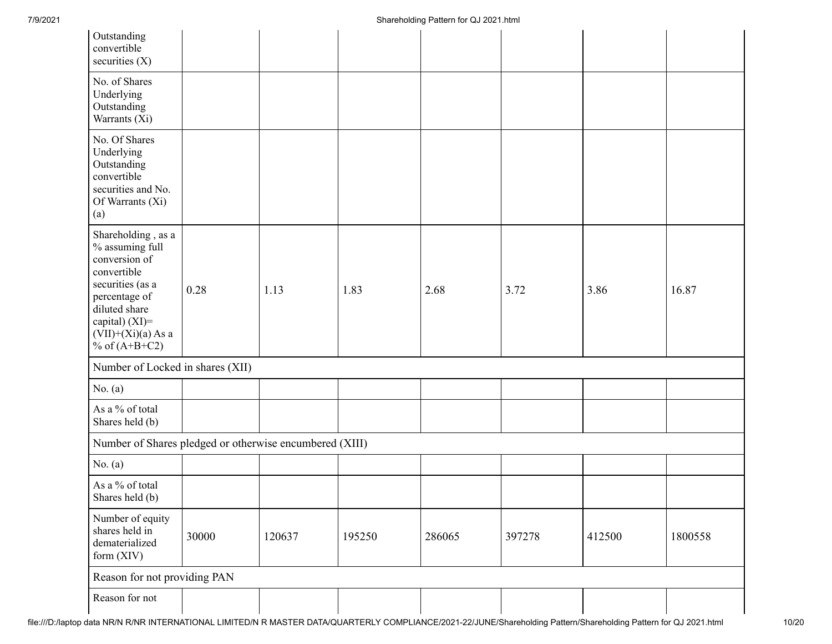| Outstanding<br>convertible<br>securities $(X)$                                                                                                                                              |       |        |        |        |        |        |         |
|---------------------------------------------------------------------------------------------------------------------------------------------------------------------------------------------|-------|--------|--------|--------|--------|--------|---------|
| No. of Shares<br>Underlying<br>Outstanding<br>Warrants (Xi)                                                                                                                                 |       |        |        |        |        |        |         |
| No. Of Shares<br>Underlying<br>Outstanding<br>convertible<br>securities and No.<br>Of Warrants (Xi)<br>(a)                                                                                  |       |        |        |        |        |        |         |
| Shareholding, as a<br>% assuming full<br>conversion of<br>convertible<br>securities (as a<br>percentage of<br>diluted share<br>capital) $(XI)$ =<br>$(VII)+(Xi)(a)$ As a<br>% of $(A+B+C2)$ | 0.28  | 1.13   | 1.83   | 2.68   | 3.72   | 3.86   | 16.87   |
| Number of Locked in shares (XII)                                                                                                                                                            |       |        |        |        |        |        |         |
| No. $(a)$                                                                                                                                                                                   |       |        |        |        |        |        |         |
| As a % of total<br>Shares held (b)                                                                                                                                                          |       |        |        |        |        |        |         |
| Number of Shares pledged or otherwise encumbered (XIII)                                                                                                                                     |       |        |        |        |        |        |         |
| No. $(a)$                                                                                                                                                                                   |       |        |        |        |        |        |         |
| As a % of total<br>Shares held (b)                                                                                                                                                          |       |        |        |        |        |        |         |
| Number of equity<br>shares held in<br>dematerialized<br>form (XIV)                                                                                                                          | 30000 | 120637 | 195250 | 286065 | 397278 | 412500 | 1800558 |
| Reason for not providing PAN                                                                                                                                                                |       |        |        |        |        |        |         |
| Reason for not                                                                                                                                                                              |       |        |        |        |        |        |         |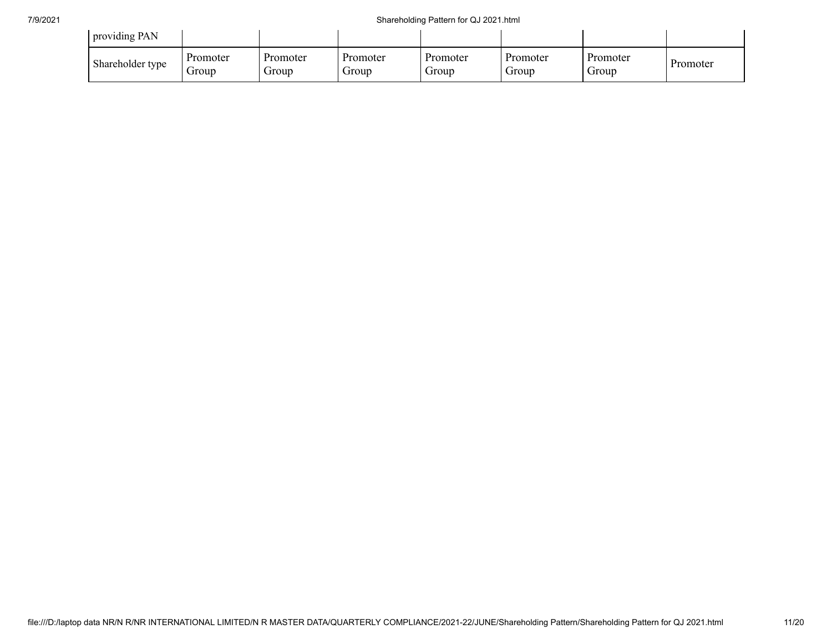| providing PAN    |                   |                          |                   |                   |                   |                   |          |
|------------------|-------------------|--------------------------|-------------------|-------------------|-------------------|-------------------|----------|
| Shareholder type | Promoter<br>droup | Promoter<br><b>Group</b> | Promoter<br>Group | Promoter<br>Group | Promoter<br>Group | Promoter<br>Group | Promoter |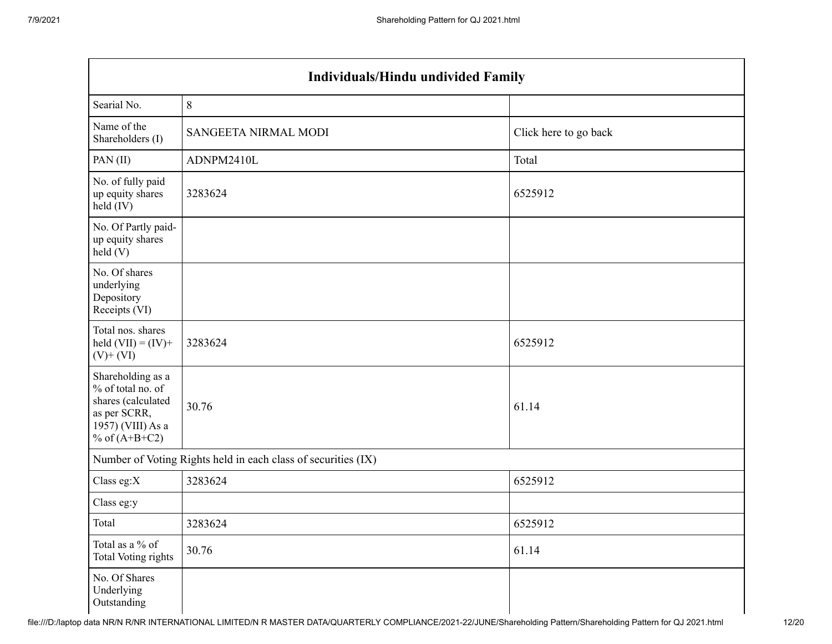| <b>Individuals/Hindu undivided Family</b>                                                                            |                                                               |                       |  |  |  |  |  |
|----------------------------------------------------------------------------------------------------------------------|---------------------------------------------------------------|-----------------------|--|--|--|--|--|
| Searial No.                                                                                                          | $\,8\,$                                                       |                       |  |  |  |  |  |
| Name of the<br>Shareholders (I)                                                                                      | SANGEETA NIRMAL MODI                                          | Click here to go back |  |  |  |  |  |
| PAN(II)                                                                                                              | ADNPM2410L                                                    | Total                 |  |  |  |  |  |
| No. of fully paid<br>up equity shares<br>$\text{held (IV)}$                                                          | 3283624                                                       | 6525912               |  |  |  |  |  |
| No. Of Partly paid-<br>up equity shares<br>held(V)                                                                   |                                                               |                       |  |  |  |  |  |
| No. Of shares<br>underlying<br>Depository<br>Receipts (VI)                                                           |                                                               |                       |  |  |  |  |  |
| Total nos. shares<br>held $(VII) = (IV) +$<br>$(V)$ + $(VI)$                                                         | 3283624                                                       | 6525912               |  |  |  |  |  |
| Shareholding as a<br>% of total no. of<br>shares (calculated<br>as per SCRR,<br>1957) (VIII) As a<br>% of $(A+B+C2)$ | 30.76                                                         | 61.14                 |  |  |  |  |  |
|                                                                                                                      | Number of Voting Rights held in each class of securities (IX) |                       |  |  |  |  |  |
| Class eg: $X$                                                                                                        | 3283624                                                       | 6525912               |  |  |  |  |  |
| Class eg:y                                                                                                           |                                                               |                       |  |  |  |  |  |
| Total                                                                                                                | 3283624                                                       | 6525912               |  |  |  |  |  |
| Total as a % of<br>Total Voting rights                                                                               | 30.76                                                         | 61.14                 |  |  |  |  |  |
| No. Of Shares<br>Underlying<br>Outstanding                                                                           |                                                               |                       |  |  |  |  |  |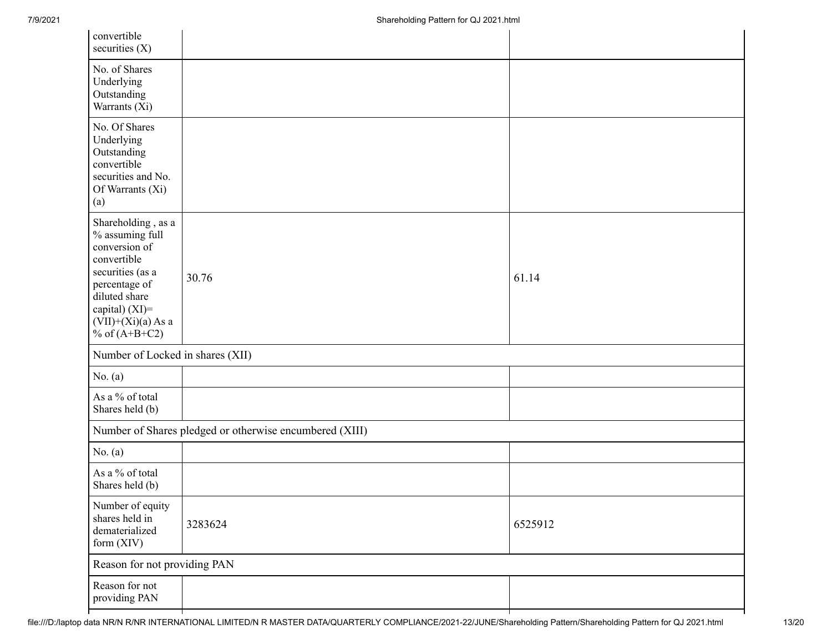| convertible<br>securities $(X)$                                                                                                                                                          |                                                         |         |  |
|------------------------------------------------------------------------------------------------------------------------------------------------------------------------------------------|---------------------------------------------------------|---------|--|
| No. of Shares<br>Underlying<br>Outstanding<br>Warrants (Xi)                                                                                                                              |                                                         |         |  |
| No. Of Shares<br>Underlying<br>Outstanding<br>convertible<br>securities and No.<br>Of Warrants (Xi)<br>(a)                                                                               |                                                         |         |  |
| Shareholding, as a<br>% assuming full<br>conversion of<br>convertible<br>securities (as a<br>percentage of<br>diluted share<br>capital) (XI)=<br>$(VII)+(Xi)(a)$ As a<br>% of $(A+B+C2)$ | 30.76                                                   | 61.14   |  |
| Number of Locked in shares (XII)                                                                                                                                                         |                                                         |         |  |
| No. $(a)$                                                                                                                                                                                |                                                         |         |  |
| As a % of total<br>Shares held (b)                                                                                                                                                       |                                                         |         |  |
|                                                                                                                                                                                          | Number of Shares pledged or otherwise encumbered (XIII) |         |  |
| No. $(a)$                                                                                                                                                                                |                                                         |         |  |
| As a % of total<br>Shares held (b)                                                                                                                                                       |                                                         |         |  |
| Number of equity<br>shares held in<br>dematerialized<br>form (XIV)                                                                                                                       | 3283624                                                 | 6525912 |  |
| Reason for not providing PAN                                                                                                                                                             |                                                         |         |  |
| Reason for not<br>providing PAN                                                                                                                                                          |                                                         |         |  |
|                                                                                                                                                                                          |                                                         |         |  |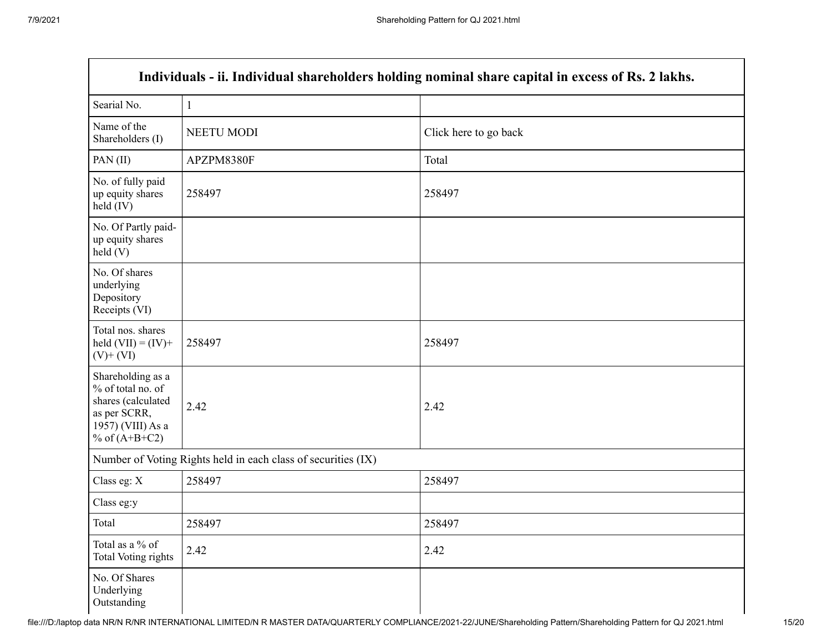| Individuals - ii. Individual shareholders holding nominal share capital in excess of Rs. 2 lakhs.                    |              |                       |  |  |
|----------------------------------------------------------------------------------------------------------------------|--------------|-----------------------|--|--|
| Searial No.                                                                                                          | $\mathbf{1}$ |                       |  |  |
| Name of the<br>Shareholders (I)                                                                                      | NEETU MODI   | Click here to go back |  |  |
| PAN $(II)$                                                                                                           | APZPM8380F   | Total                 |  |  |
| No. of fully paid<br>up equity shares<br>held (IV)                                                                   | 258497       | 258497                |  |  |
| No. Of Partly paid-<br>up equity shares<br>held(V)                                                                   |              |                       |  |  |
| No. Of shares<br>underlying<br>Depository<br>Receipts (VI)                                                           |              |                       |  |  |
| Total nos. shares<br>held $(VII) = (IV) +$<br>$(V)$ + $(VI)$                                                         | 258497       | 258497                |  |  |
| Shareholding as a<br>% of total no. of<br>shares (calculated<br>as per SCRR,<br>1957) (VIII) As a<br>% of $(A+B+C2)$ | 2.42         | 2.42                  |  |  |
| Number of Voting Rights held in each class of securities (IX)                                                        |              |                       |  |  |
| Class eg: X                                                                                                          | 258497       | 258497                |  |  |
| Class eg:y                                                                                                           |              |                       |  |  |
| Total                                                                                                                | 258497       | 258497                |  |  |
| Total as a % of<br><b>Total Voting rights</b>                                                                        | 2.42         | 2.42                  |  |  |
| No. Of Shares<br>Underlying<br>Outstanding                                                                           |              |                       |  |  |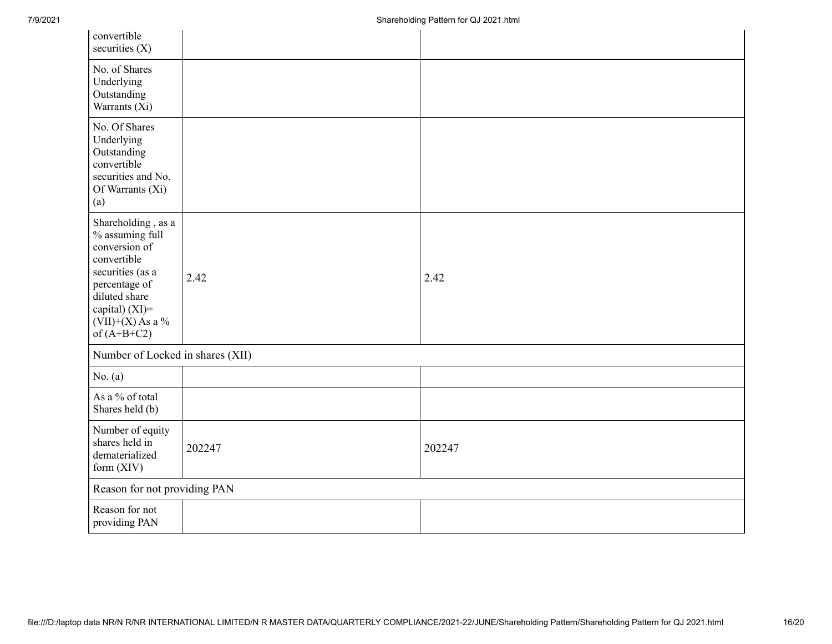| convertible<br>securities $(X)$                                                                                                                                                      |        |        |  |
|--------------------------------------------------------------------------------------------------------------------------------------------------------------------------------------|--------|--------|--|
| No. of Shares<br>Underlying<br>Outstanding<br>Warrants (Xi)                                                                                                                          |        |        |  |
| No. Of Shares<br>Underlying<br>Outstanding<br>convertible<br>securities and No.<br>Of Warrants (Xi)<br>(a)                                                                           |        |        |  |
| Shareholding, as a<br>% assuming full<br>conversion of<br>convertible<br>securities (as a<br>percentage of<br>diluted share<br>capital) (XI)=<br>$(VII)+(X)$ As a %<br>of $(A+B+C2)$ | 2.42   | 2.42   |  |
| Number of Locked in shares (XII)                                                                                                                                                     |        |        |  |
| No. $(a)$                                                                                                                                                                            |        |        |  |
| As a % of total<br>Shares held (b)                                                                                                                                                   |        |        |  |
| Number of equity<br>shares held in<br>dematerialized<br>form $(XIV)$                                                                                                                 | 202247 | 202247 |  |
| Reason for not providing PAN                                                                                                                                                         |        |        |  |
| Reason for not<br>providing PAN                                                                                                                                                      |        |        |  |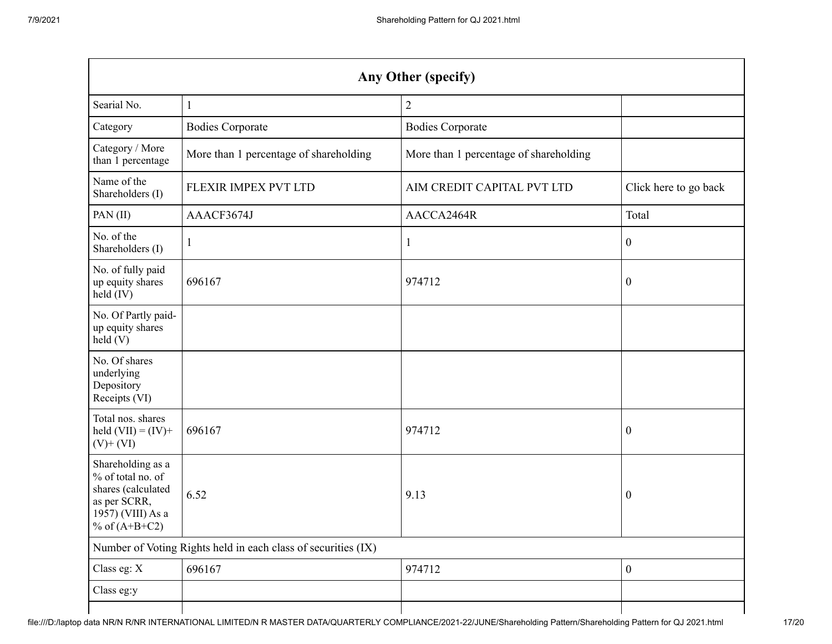| Any Other (specify)                                                                                                  |                                        |                                        |                       |  |
|----------------------------------------------------------------------------------------------------------------------|----------------------------------------|----------------------------------------|-----------------------|--|
| Searial No.                                                                                                          | 1                                      | $\overline{2}$                         |                       |  |
| Category                                                                                                             | <b>Bodies Corporate</b>                | <b>Bodies Corporate</b>                |                       |  |
| Category / More<br>than 1 percentage                                                                                 | More than 1 percentage of shareholding | More than 1 percentage of shareholding |                       |  |
| Name of the<br>Shareholders (I)                                                                                      | FLEXIR IMPEX PVT LTD                   | AIM CREDIT CAPITAL PVT LTD             | Click here to go back |  |
| PAN(II)                                                                                                              | AAACF3674J                             | AACCA2464R                             | Total                 |  |
| No. of the<br>Shareholders (I)                                                                                       |                                        | 1                                      | $\boldsymbol{0}$      |  |
| No. of fully paid<br>up equity shares<br>held (IV)                                                                   | 696167                                 | 974712                                 | $\boldsymbol{0}$      |  |
| No. Of Partly paid-<br>up equity shares<br>held(V)                                                                   |                                        |                                        |                       |  |
| No. Of shares<br>underlying<br>Depository<br>Receipts (VI)                                                           |                                        |                                        |                       |  |
| Total nos. shares<br>held $(VII) = (IV) +$<br>$(V)$ + $(VI)$                                                         | 696167                                 | 974712                                 | $\boldsymbol{0}$      |  |
| Shareholding as a<br>% of total no. of<br>shares (calculated<br>as per SCRR,<br>1957) (VIII) As a<br>% of $(A+B+C2)$ | 6.52                                   | 9.13                                   | $\boldsymbol{0}$      |  |
| Number of Voting Rights held in each class of securities (IX)                                                        |                                        |                                        |                       |  |
| Class eg: X                                                                                                          | 696167                                 | 974712                                 | $\boldsymbol{0}$      |  |
| Class eg:y                                                                                                           |                                        |                                        |                       |  |
|                                                                                                                      |                                        |                                        |                       |  |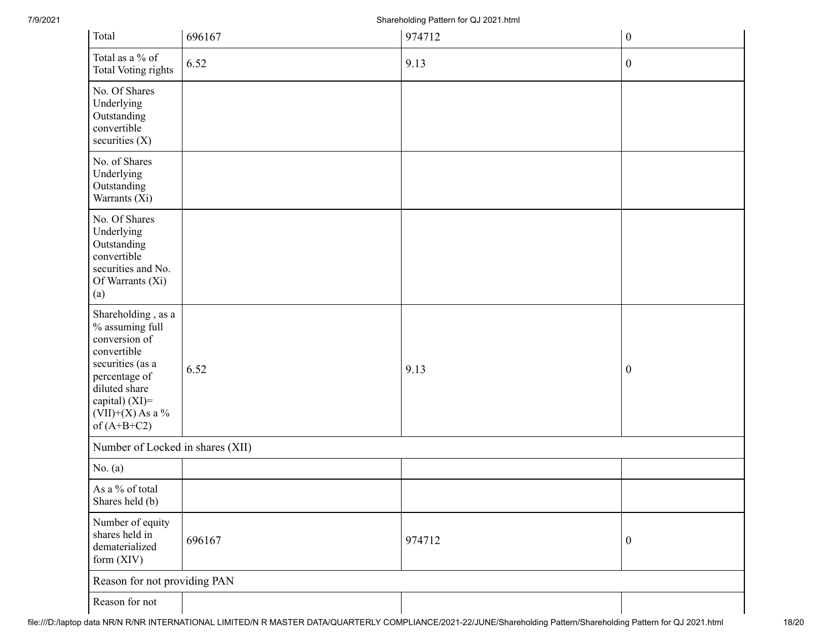7/9/2021 Shareholding Pattern for QJ 2021.html

| Total                                                                                                                                                                                | 696167 | 974712 | $\boldsymbol{0}$ |  |
|--------------------------------------------------------------------------------------------------------------------------------------------------------------------------------------|--------|--------|------------------|--|
| Total as a % of<br>Total Voting rights                                                                                                                                               | 6.52   | 9.13   | $\boldsymbol{0}$ |  |
| No. Of Shares<br>Underlying<br>Outstanding<br>convertible<br>securities $(X)$                                                                                                        |        |        |                  |  |
| No. of Shares<br>Underlying<br>Outstanding<br>Warrants (Xi)                                                                                                                          |        |        |                  |  |
| No. Of Shares<br>Underlying<br>Outstanding<br>convertible<br>securities and No.<br>Of Warrants (Xi)<br>(a)                                                                           |        |        |                  |  |
| Shareholding, as a<br>% assuming full<br>conversion of<br>convertible<br>securities (as a<br>percentage of<br>diluted share<br>capital) (XI)=<br>$(VII)+(X)$ As a %<br>of $(A+B+C2)$ | 6.52   | 9.13   | $\boldsymbol{0}$ |  |
| Number of Locked in shares (XII)                                                                                                                                                     |        |        |                  |  |
| No. $(a)$                                                                                                                                                                            |        |        |                  |  |
| As a % of total<br>Shares held (b)                                                                                                                                                   |        |        |                  |  |
| Number of equity<br>shares held in<br>dematerialized<br>form (XIV)                                                                                                                   | 696167 | 974712 | $\boldsymbol{0}$ |  |
| Reason for not providing PAN                                                                                                                                                         |        |        |                  |  |
| Reason for not                                                                                                                                                                       |        |        |                  |  |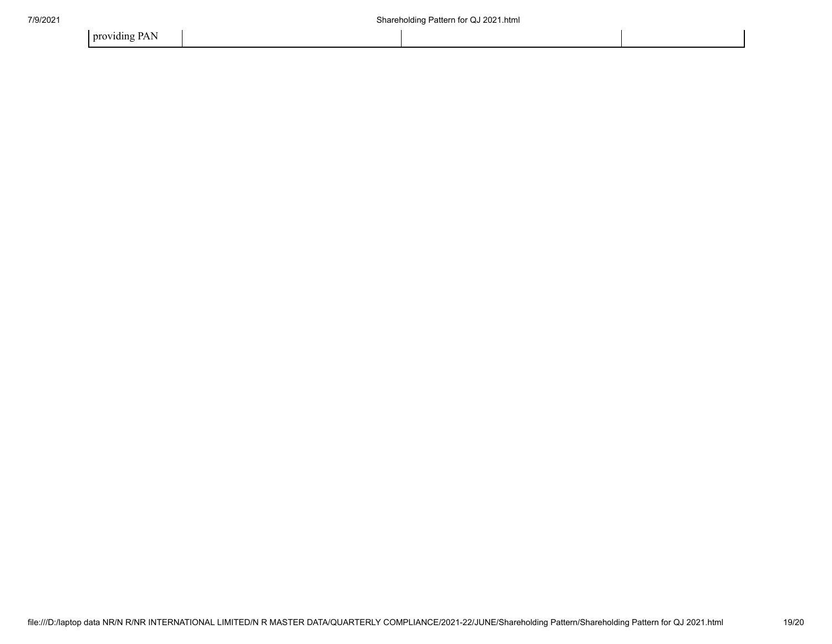providing PAN